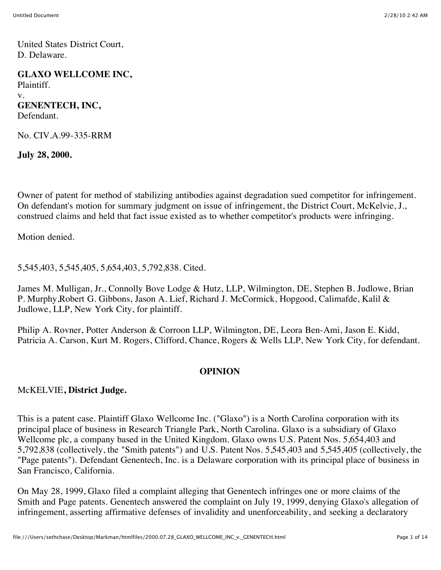United States District Court, D. Delaware.

**GLAXO WELLCOME INC,** Plaintiff. v. **GENENTECH, INC,** Defendant.

No. CIV.A.99-335-RRM

**July 28, 2000.**

Owner of patent for method of stabilizing antibodies against degradation sued competitor for infringement. On defendant's motion for summary judgment on issue of infringement, the District Court, McKelvie, J., construed claims and held that fact issue existed as to whether competitor's products were infringing.

Motion denied.

5,545,403, 5,545,405, 5,654,403, 5,792,838. Cited.

James M. Mulligan, Jr., Connolly Bove Lodge & Hutz, LLP, Wilmington, DE, Stephen B. Judlowe, Brian P. Murphy,Robert G. Gibbons, Jason A. Lief, Richard J. McCormick, Hopgood, Calimafde, Kalil & Judlowe, LLP, New York City, for plaintiff.

Philip A. Rovner, Potter Anderson & Corroon LLP, Wilmington, DE, Leora Ben-Ami, Jason E. Kidd, Patricia A. Carson, Kurt M. Rogers, Clifford, Chance, Rogers & Wells LLP, New York City, for defendant.

#### **OPINION**

#### McKELVIE**, District Judge.**

This is a patent case. Plaintiff Glaxo Wellcome Inc. ("Glaxo") is a North Carolina corporation with its principal place of business in Research Triangle Park, North Carolina. Glaxo is a subsidiary of Glaxo Wellcome plc, a company based in the United Kingdom. Glaxo owns U.S. Patent Nos. 5,654,403 and 5,792,838 (collectively, the "Smith patents") and U.S. Patent Nos. 5,545,403 and 5,545,405 (collectively, the "Page patents"). Defendant Genentech, Inc. is a Delaware corporation with its principal place of business in San Francisco, California.

On May 28, 1999, Glaxo filed a complaint alleging that Genentech infringes one or more claims of the Smith and Page patents. Genentech answered the complaint on July 19, 1999, denying Glaxo's allegation of infringement, asserting affirmative defenses of invalidity and unenforceability, and seeking a declaratory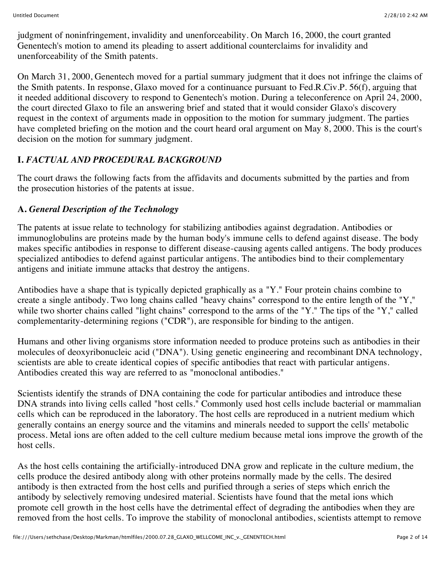judgment of noninfringement, invalidity and unenforceability. On March 16, 2000, the court granted Genentech's motion to amend its pleading to assert additional counterclaims for invalidity and unenforceability of the Smith patents.

On March 31, 2000, Genentech moved for a partial summary judgment that it does not infringe the claims of the Smith patents. In response, Glaxo moved for a continuance pursuant to Fed.R.Civ.P. 56(f), arguing that it needed additional discovery to respond to Genentech's motion. During a teleconference on April 24, 2000, the court directed Glaxo to file an answering brief and stated that it would consider Glaxo's discovery request in the context of arguments made in opposition to the motion for summary judgment. The parties have completed briefing on the motion and the court heard oral argument on May 8, 2000. This is the court's decision on the motion for summary judgment.

# **I.** *FACTUAL AND PROCEDURAL BACKGROUND*

The court draws the following facts from the affidavits and documents submitted by the parties and from the prosecution histories of the patents at issue.

## **A.** *General Description of the Technology*

The patents at issue relate to technology for stabilizing antibodies against degradation. Antibodies or immunoglobulins are proteins made by the human body's immune cells to defend against disease. The body makes specific antibodies in response to different disease-causing agents called antigens. The body produces specialized antibodies to defend against particular antigens. The antibodies bind to their complementary antigens and initiate immune attacks that destroy the antigens.

Antibodies have a shape that is typically depicted graphically as a "Y." Four protein chains combine to create a single antibody. Two long chains called "heavy chains" correspond to the entire length of the "Y," while two shorter chains called "light chains" correspond to the arms of the "Y." The tips of the "Y," called complementarity-determining regions ("CDR"), are responsible for binding to the antigen.

Humans and other living organisms store information needed to produce proteins such as antibodies in their molecules of deoxyribonucleic acid ("DNA"). Using genetic engineering and recombinant DNA technology, scientists are able to create identical copies of specific antibodies that react with particular antigens. Antibodies created this way are referred to as "monoclonal antibodies."

Scientists identify the strands of DNA containing the code for particular antibodies and introduce these DNA strands into living cells called "host cells." Commonly used host cells include bacterial or mammalian cells which can be reproduced in the laboratory. The host cells are reproduced in a nutrient medium which generally contains an energy source and the vitamins and minerals needed to support the cells' metabolic process. Metal ions are often added to the cell culture medium because metal ions improve the growth of the host cells.

As the host cells containing the artificially-introduced DNA grow and replicate in the culture medium, the cells produce the desired antibody along with other proteins normally made by the cells. The desired antibody is then extracted from the host cells and purified through a series of steps which enrich the antibody by selectively removing undesired material. Scientists have found that the metal ions which promote cell growth in the host cells have the detrimental effect of degrading the antibodies when they are removed from the host cells. To improve the stability of monoclonal antibodies, scientists attempt to remove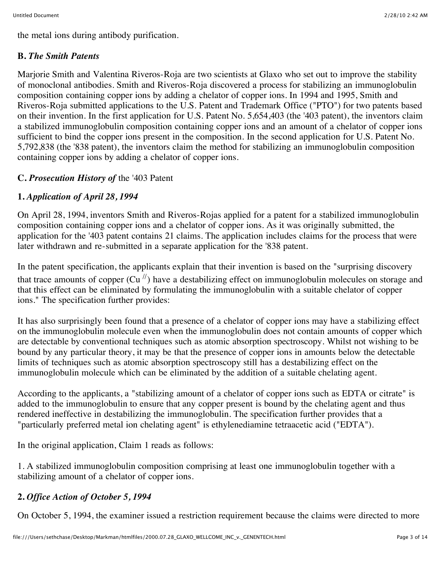the metal ions during antibody purification.

## **B.** *The Smith Patents*

Marjorie Smith and Valentina Riveros-Roja are two scientists at Glaxo who set out to improve the stability of monoclonal antibodies. Smith and Riveros-Roja discovered a process for stabilizing an immunoglobulin composition containing copper ions by adding a chelator of copper ions. In 1994 and 1995, Smith and Riveros-Roja submitted applications to the U.S. Patent and Trademark Office ("PTO") for two patents based on their invention. In the first application for U.S. Patent No. 5,654,403 (the '403 patent), the inventors claim a stabilized immunoglobulin composition containing copper ions and an amount of a chelator of copper ions sufficient to bind the copper ions present in the composition. In the second application for U.S. Patent No. 5,792,838 (the '838 patent), the inventors claim the method for stabilizing an immunoglobulin composition containing copper ions by adding a chelator of copper ions.

## **C.** *Prosecution History of* the '403 Patent

## **1.** *Application of April 28, 1994*

On April 28, 1994, inventors Smith and Riveros-Rojas applied for a patent for a stabilized immunoglobulin composition containing copper ions and a chelator of copper ions. As it was originally submitted, the application for the '403 patent contains 21 claims. The application includes claims for the process that were later withdrawn and re-submitted in a separate application for the '838 patent.

In the patent specification, the applicants explain that their invention is based on the "surprising discovery that trace amounts of copper  $(Cu'')$  have a destabilizing effect on immunoglobulin molecules on storage and that this effect can be eliminated by formulating the immunoglobulin with a suitable chelator of copper ions." The specification further provides:

It has also surprisingly been found that a presence of a chelator of copper ions may have a stabilizing effect on the immunoglobulin molecule even when the immunoglobulin does not contain amounts of copper which are detectable by conventional techniques such as atomic absorption spectroscopy. Whilst not wishing to be bound by any particular theory, it may be that the presence of copper ions in amounts below the detectable limits of techniques such as atomic absorption spectroscopy still has a destabilizing effect on the immunoglobulin molecule which can be eliminated by the addition of a suitable chelating agent.

According to the applicants, a "stabilizing amount of a chelator of copper ions such as EDTA or citrate" is added to the immunoglobulin to ensure that any copper present is bound by the chelating agent and thus rendered ineffective in destabilizing the immunoglobulin. The specification further provides that a "particularly preferred metal ion chelating agent" is ethylenediamine tetraacetic acid ("EDTA").

In the original application, Claim 1 reads as follows:

1. A stabilized immunoglobulin composition comprising at least one immunoglobulin together with a stabilizing amount of a chelator of copper ions.

## **2.** *Office Action of October 5, 1994*

On October 5, 1994, the examiner issued a restriction requirement because the claims were directed to more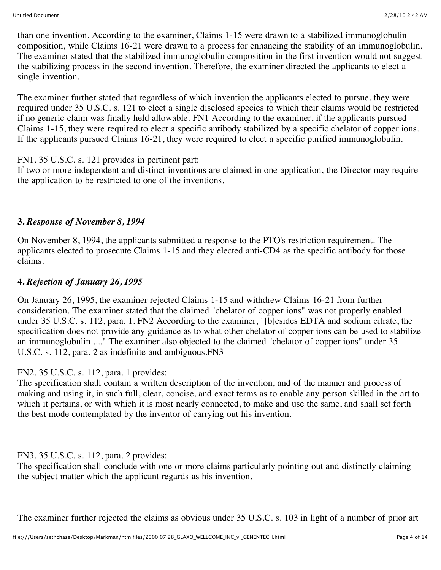than one invention. According to the examiner, Claims 1-15 were drawn to a stabilized immunoglobulin composition, while Claims 16-21 were drawn to a process for enhancing the stability of an immunoglobulin. The examiner stated that the stabilized immunoglobulin composition in the first invention would not suggest the stabilizing process in the second invention. Therefore, the examiner directed the applicants to elect a single invention.

The examiner further stated that regardless of which invention the applicants elected to pursue, they were required under 35 U.S.C. s. 121 to elect a single disclosed species to which their claims would be restricted if no generic claim was finally held allowable. FN1 According to the examiner, if the applicants pursued Claims 1-15, they were required to elect a specific antibody stabilized by a specific chelator of copper ions. If the applicants pursued Claims 16-21, they were required to elect a specific purified immunoglobulin.

FN1. 35 U.S.C. s. 121 provides in pertinent part:

If two or more independent and distinct inventions are claimed in one application, the Director may require the application to be restricted to one of the inventions.

## **3.** *Response of November 8, 1994*

On November 8, 1994, the applicants submitted a response to the PTO's restriction requirement. The applicants elected to prosecute Claims 1-15 and they elected anti-CD4 as the specific antibody for those claims.

## **4.** *Rejection of January 26, 1995*

On January 26, 1995, the examiner rejected Claims 1-15 and withdrew Claims 16-21 from further consideration. The examiner stated that the claimed "chelator of copper ions" was not properly enabled under 35 U.S.C. s. 112, para. 1. FN2 According to the examiner, "[b]esides EDTA and sodium citrate, the specification does not provide any guidance as to what other chelator of copper ions can be used to stabilize an immunoglobulin ...." The examiner also objected to the claimed "chelator of copper ions" under 35 U.S.C. s. 112, para. 2 as indefinite and ambiguous.FN3

## FN2. 35 U.S.C. s. 112, para. 1 provides:

The specification shall contain a written description of the invention, and of the manner and process of making and using it, in such full, clear, concise, and exact terms as to enable any person skilled in the art to which it pertains, or with which it is most nearly connected, to make and use the same, and shall set forth the best mode contemplated by the inventor of carrying out his invention.

## FN3. 35 U.S.C. s. 112, para. 2 provides:

The specification shall conclude with one or more claims particularly pointing out and distinctly claiming the subject matter which the applicant regards as his invention.

The examiner further rejected the claims as obvious under 35 U.S.C. s. 103 in light of a number of prior art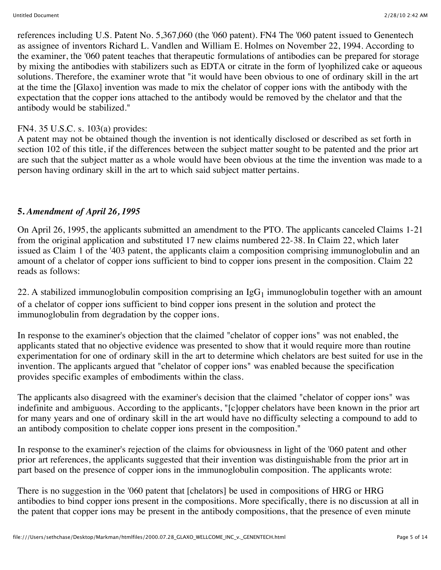references including U.S. Patent No. 5,367,060 (the '060 patent). FN4 The '060 patent issued to Genentech as assignee of inventors Richard L. Vandlen and William E. Holmes on November 22, 1994. According to the examiner, the '060 patent teaches that therapeutic formulations of antibodies can be prepared for storage by mixing the antibodies with stabilizers such as EDTA or citrate in the form of lyophilized cake or aqueous solutions. Therefore, the examiner wrote that "it would have been obvious to one of ordinary skill in the art at the time the [Glaxo] invention was made to mix the chelator of copper ions with the antibody with the expectation that the copper ions attached to the antibody would be removed by the chelator and that the antibody would be stabilized."

#### FN4. 35 U.S.C. s. 103(a) provides:

A patent may not be obtained though the invention is not identically disclosed or described as set forth in section 102 of this title, if the differences between the subject matter sought to be patented and the prior art are such that the subject matter as a whole would have been obvious at the time the invention was made to a person having ordinary skill in the art to which said subject matter pertains.

#### **5.** *Amendment of April 26, 1995*

On April 26, 1995, the applicants submitted an amendment to the PTO. The applicants canceled Claims 1-21 from the original application and substituted 17 new claims numbered 22-38. In Claim 22, which later issued as Claim 1 of the '403 patent, the applicants claim a composition comprising immunoglobulin and an amount of a chelator of copper ions sufficient to bind to copper ions present in the composition. Claim 22 reads as follows:

22. A stabilized immunoglobulin composition comprising an  $IgG_1$  immunoglobulin together with an amount of a chelator of copper ions sufficient to bind copper ions present in the solution and protect the immunoglobulin from degradation by the copper ions.

In response to the examiner's objection that the claimed "chelator of copper ions" was not enabled, the applicants stated that no objective evidence was presented to show that it would require more than routine experimentation for one of ordinary skill in the art to determine which chelators are best suited for use in the invention. The applicants argued that "chelator of copper ions" was enabled because the specification provides specific examples of embodiments within the class.

The applicants also disagreed with the examiner's decision that the claimed "chelator of copper ions" was indefinite and ambiguous. According to the applicants, "[c]opper chelators have been known in the prior art for many years and one of ordinary skill in the art would have no difficulty selecting a compound to add to an antibody composition to chelate copper ions present in the composition."

In response to the examiner's rejection of the claims for obviousness in light of the '060 patent and other prior art references, the applicants suggested that their invention was distinguishable from the prior art in part based on the presence of copper ions in the immunoglobulin composition. The applicants wrote:

There is no suggestion in the '060 patent that [chelators] be used in compositions of HRG or HRG antibodies to bind copper ions present in the compositions. More specifically, there is no discussion at all in the patent that copper ions may be present in the antibody compositions, that the presence of even minute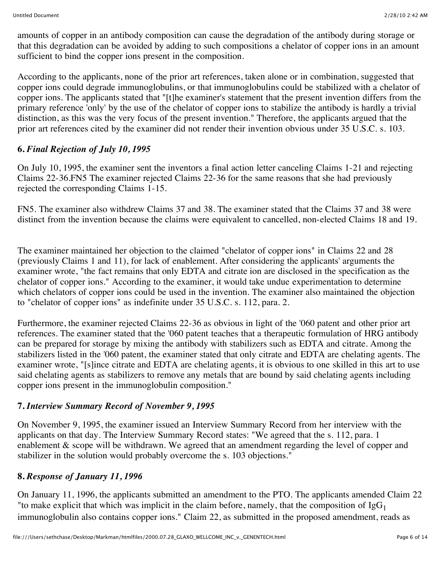amounts of copper in an antibody composition can cause the degradation of the antibody during storage or that this degradation can be avoided by adding to such compositions a chelator of copper ions in an amount sufficient to bind the copper ions present in the composition.

According to the applicants, none of the prior art references, taken alone or in combination, suggested that copper ions could degrade immunoglobulins, or that immunoglobulins could be stabilized with a chelator of copper ions. The applicants stated that "[t]he examiner's statement that the present invention differs from the primary reference 'only' by the use of the chelator of copper ions to stabilize the antibody is hardly a trivial distinction, as this was the very focus of the present invention." Therefore, the applicants argued that the prior art references cited by the examiner did not render their invention obvious under 35 U.S.C. s. 103.

## **6.** *Final Rejection of July 10, 1995*

On July 10, 1995, the examiner sent the inventors a final action letter canceling Claims 1-21 and rejecting Claims 22-36.FN5 The examiner rejected Claims 22-36 for the same reasons that she had previously rejected the corresponding Claims 1-15.

FN5. The examiner also withdrew Claims 37 and 38. The examiner stated that the Claims 37 and 38 were distinct from the invention because the claims were equivalent to cancelled, non-elected Claims 18 and 19.

The examiner maintained her objection to the claimed "chelator of copper ions" in Claims 22 and 28 (previously Claims 1 and 11), for lack of enablement. After considering the applicants' arguments the examiner wrote, "the fact remains that only EDTA and citrate ion are disclosed in the specification as the chelator of copper ions." According to the examiner, it would take undue experimentation to determine which chelators of copper ions could be used in the invention. The examiner also maintained the objection to "chelator of copper ions" as indefinite under 35 U.S.C. s. 112, para. 2.

Furthermore, the examiner rejected Claims 22-36 as obvious in light of the '060 patent and other prior art references. The examiner stated that the '060 patent teaches that a therapeutic formulation of HRG antibody can be prepared for storage by mixing the antibody with stabilizers such as EDTA and citrate. Among the stabilizers listed in the '060 patent, the examiner stated that only citrate and EDTA are chelating agents. The examiner wrote, "[s]ince citrate and EDTA are chelating agents, it is obvious to one skilled in this art to use said chelating agents as stabilizers to remove any metals that are bound by said chelating agents including copper ions present in the immunoglobulin composition."

#### **7.** *Interview Summary Record of November 9, 1995*

On November 9, 1995, the examiner issued an Interview Summary Record from her interview with the applicants on that day. The Interview Summary Record states: "We agreed that the s. 112, para. 1 enablement & scope will be withdrawn. We agreed that an amendment regarding the level of copper and stabilizer in the solution would probably overcome the s. 103 objections."

#### **8.** *Response of January 11, 1996*

On January 11, 1996, the applicants submitted an amendment to the PTO. The applicants amended Claim 22 "to make explicit that which was implicit in the claim before, namely, that the composition of  $IgG_1$ immunoglobulin also contains copper ions." Claim 22, as submitted in the proposed amendment, reads as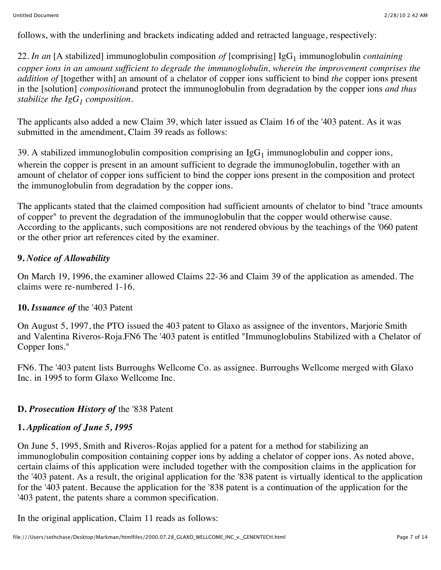follows, with the underlining and brackets indicating added and retracted language, respectively:

22. *In an* [A stabilized] immunoglobulin composition *of* [comprising] IgG<sub>1</sub> immunoglobulin *containing copper ions in an amount sufficient to degrade the immunoglobulin, wherein the improvement comprises the addition of* [together with] an amount of a chelator of copper ions sufficient to bind *the* copper ions present in the [solution] *composition*and protect the immunoglobulin from degradation by the copper ions *and thus stabilize the IgG<sub>1</sub> composition.* 

The applicants also added a new Claim 39, which later issued as Claim 16 of the '403 patent. As it was submitted in the amendment. Claim 39 reads as follows:

39. A stabilized immunoglobulin composition comprising an  $IgG<sub>1</sub>$  immunoglobulin and copper ions, wherein the copper is present in an amount sufficient to degrade the immunoglobulin, together with an amount of chelator of copper ions sufficient to bind the copper ions present in the composition and protect the immunoglobulin from degradation by the copper ions.

The applicants stated that the claimed composition had sufficient amounts of chelator to bind "trace amounts of copper" to prevent the degradation of the immunoglobulin that the copper would otherwise cause. According to the applicants, such compositions are not rendered obvious by the teachings of the '060 patent or the other prior art references cited by the examiner.

## **9.** *Notice of Allowability*

On March 19, 1996, the examiner allowed Claims 22-36 and Claim 39 of the application as amended. The claims were re-numbered 1-16.

#### **10.** *Issuance of* the '403 Patent

On August 5, 1997, the PTO issued the 403 patent to Glaxo as assignee of the inventors, Marjorie Smith and Valentina Riveros-Roja.FN6 The '403 patent is entitled "Immunoglobulins Stabilized with a Chelator of Copper Ions."

FN6. The '403 patent lists Burroughs Wellcome Co. as assignee. Burroughs Wellcome merged with Glaxo Inc. in 1995 to form Glaxo Wellcome Inc.

## **D.** *Prosecution History of* the '838 Patent

## **1.** *Application of June 5, 1995*

On June 5, 1995, Smith and Riveros-Rojas applied for a patent for a method for stabilizing an immunoglobulin composition containing copper ions by adding a chelator of copper ions. As noted above, certain claims of this application were included together with the composition claims in the application for the '403 patent. As a result, the original application for the '838 patent is virtually identical to the application for the '403 patent. Because the application for the '838 patent is a continuation of the application for the '403 patent, the patents share a common specification.

In the original application, Claim 11 reads as follows: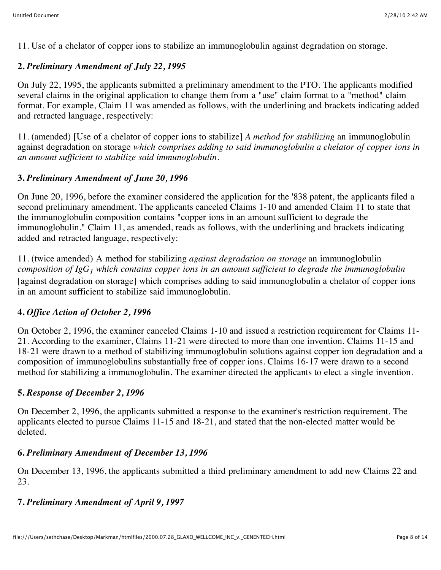11. Use of a chelator of copper ions to stabilize an immunoglobulin against degradation on storage.

#### **2.** *Preliminary Amendment of July 22, 1995*

On July 22, 1995, the applicants submitted a preliminary amendment to the PTO. The applicants modified several claims in the original application to change them from a "use" claim format to a "method" claim format. For example, Claim 11 was amended as follows, with the underlining and brackets indicating added and retracted language, respectively:

11. (amended) [Use of a chelator of copper ions to stabilize] *A method for stabilizing* an immunoglobulin against degradation on storage *which comprises adding to said immunoglobulin a chelator of copper ions in an amount sufficient to stabilize said immunoglobulin.*

#### **3.** *Preliminary Amendment of June 20, 1996*

On June 20, 1996, before the examiner considered the application for the '838 patent, the applicants filed a second preliminary amendment. The applicants canceled Claims 1-10 and amended Claim 11 to state that the immunoglobulin composition contains "copper ions in an amount sufficient to degrade the immunoglobulin." Claim 11, as amended, reads as follows, with the underlining and brackets indicating added and retracted language, respectively:

11. (twice amended) A method for stabilizing *against degradation on storage* an immunoglobulin *composition of IgG1 which contains copper ions in an amount sufficient to degrade the immunoglobulin* [against degradation on storage] which comprises adding to said immunoglobulin a chelator of copper ions in an amount sufficient to stabilize said immunoglobulin.

## **4.** *Office Action of October 2, 1996*

On October 2, 1996, the examiner canceled Claims 1-10 and issued a restriction requirement for Claims 11- 21. According to the examiner, Claims 11-21 were directed to more than one invention. Claims 11-15 and 18-21 were drawn to a method of stabilizing immunoglobulin solutions against copper ion degradation and a composition of immunoglobulins substantially free of copper ions. Claims 16-17 were drawn to a second method for stabilizing a immunoglobulin. The examiner directed the applicants to elect a single invention.

#### **5.** *Response of December 2, 1996*

On December 2, 1996, the applicants submitted a response to the examiner's restriction requirement. The applicants elected to pursue Claims 11-15 and 18-21, and stated that the non-elected matter would be deleted.

#### **6.** *Preliminary Amendment of December 13, 1996*

On December 13, 1996, the applicants submitted a third preliminary amendment to add new Claims 22 and 23.

## **7.** *Preliminary Amendment of April 9, 1997*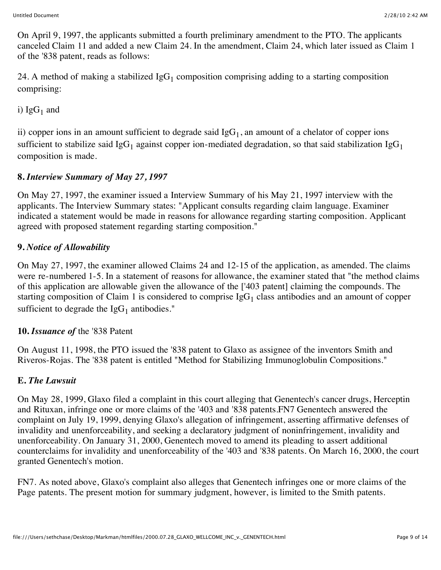On April 9, 1997, the applicants submitted a fourth preliminary amendment to the PTO. The applicants canceled Claim 11 and added a new Claim 24. In the amendment, Claim 24, which later issued as Claim 1 of the '838 patent, reads as follows:

24. A method of making a stabilized  $IgG_1$  composition comprising adding to a starting composition comprising:

i)  $IgG_1$  and

ii) copper ions in an amount sufficient to degrade said  $IgG<sub>1</sub>$ , an amount of a chelator of copper ions sufficient to stabilize said IgG<sub>1</sub> against copper ion-mediated degradation, so that said stabilization IgG<sub>1</sub> composition is made.

# **8.** *Interview Summary of May 27, 1997*

On May 27, 1997, the examiner issued a Interview Summary of his May 21, 1997 interview with the applicants. The Interview Summary states: "Applicant consults regarding claim language. Examiner indicated a statement would be made in reasons for allowance regarding starting composition. Applicant agreed with proposed statement regarding starting composition."

# **9.** *Notice of Allowability*

On May 27, 1997, the examiner allowed Claims 24 and 12-15 of the application, as amended. The claims were re-numbered 1-5. In a statement of reasons for allowance, the examiner stated that "the method claims of this application are allowable given the allowance of the ['403 patent] claiming the compounds. The starting composition of Claim 1 is considered to comprise  $IgG<sub>1</sub>$  class antibodies and an amount of copper sufficient to degrade the  $IgG<sub>1</sub>$  antibodies."

## **10.** *Issuance of* the '838 Patent

On August 11, 1998, the PTO issued the '838 patent to Glaxo as assignee of the inventors Smith and Riveros-Rojas. The '838 patent is entitled "Method for Stabilizing Immunoglobulin Compositions."

## **E.** *The Lawsuit*

On May 28, 1999, Glaxo filed a complaint in this court alleging that Genentech's cancer drugs, Herceptin and Rituxan, infringe one or more claims of the '403 and '838 patents.FN7 Genentech answered the complaint on July 19, 1999, denying Glaxo's allegation of infringement, asserting affirmative defenses of invalidity and unenforceability, and seeking a declaratory judgment of noninfringement, invalidity and unenforceability. On January 31, 2000, Genentech moved to amend its pleading to assert additional counterclaims for invalidity and unenforceability of the '403 and '838 patents. On March 16, 2000, the court granted Genentech's motion.

FN7. As noted above, Glaxo's complaint also alleges that Genentech infringes one or more claims of the Page patents. The present motion for summary judgment, however, is limited to the Smith patents.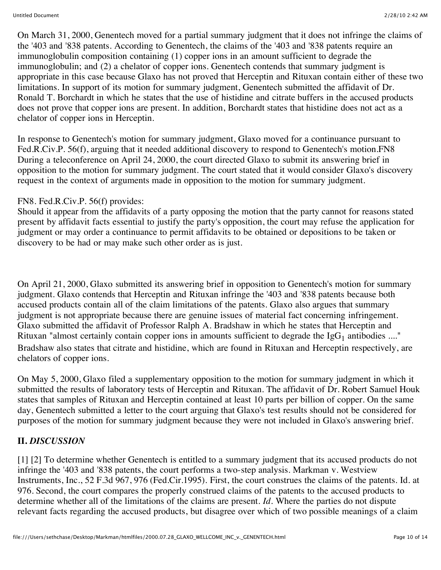On March 31, 2000, Genentech moved for a partial summary judgment that it does not infringe the claims of the '403 and '838 patents. According to Genentech, the claims of the '403 and '838 patents require an immunoglobulin composition containing (1) copper ions in an amount sufficient to degrade the immunoglobulin; and (2) a chelator of copper ions. Genentech contends that summary judgment is appropriate in this case because Glaxo has not proved that Herceptin and Rituxan contain either of these two limitations. In support of its motion for summary judgment, Genentech submitted the affidavit of Dr. Ronald T. Borchardt in which he states that the use of histidine and citrate buffers in the accused products does not prove that copper ions are present. In addition, Borchardt states that histidine does not act as a chelator of copper ions in Herceptin.

In response to Genentech's motion for summary judgment, Glaxo moved for a continuance pursuant to Fed.R.Civ.P. 56(f), arguing that it needed additional discovery to respond to Genentech's motion.FN8 During a teleconference on April 24, 2000, the court directed Glaxo to submit its answering brief in opposition to the motion for summary judgment. The court stated that it would consider Glaxo's discovery request in the context of arguments made in opposition to the motion for summary judgment.

#### FN8. Fed.R.Civ.P. 56(f) provides:

Should it appear from the affidavits of a party opposing the motion that the party cannot for reasons stated present by affidavit facts essential to justify the party's opposition, the court may refuse the application for judgment or may order a continuance to permit affidavits to be obtained or depositions to be taken or discovery to be had or may make such other order as is just.

On April 21, 2000, Glaxo submitted its answering brief in opposition to Genentech's motion for summary judgment. Glaxo contends that Herceptin and Rituxan infringe the '403 and '838 patents because both accused products contain all of the claim limitations of the patents. Glaxo also argues that summary judgment is not appropriate because there are genuine issues of material fact concerning infringement. Glaxo submitted the affidavit of Professor Ralph A. Bradshaw in which he states that Herceptin and Rituxan "almost certainly contain copper ions in amounts sufficient to degrade the  $\lg G_1$  antibodies ...." Bradshaw also states that citrate and histidine, which are found in Rituxan and Herceptin respectively, are chelators of copper ions.

On May 5, 2000, Glaxo filed a supplementary opposition to the motion for summary judgment in which it submitted the results of laboratory tests of Herceptin and Rituxan. The affidavit of Dr. Robert Samuel Houk states that samples of Rituxan and Herceptin contained at least 10 parts per billion of copper. On the same day, Genentech submitted a letter to the court arguing that Glaxo's test results should not be considered for purposes of the motion for summary judgment because they were not included in Glaxo's answering brief.

## **II.** *DISCUSSION*

[1] [2] To determine whether Genentech is entitled to a summary judgment that its accused products do not infringe the '403 and '838 patents, the court performs a two-step analysis. Markman v. Westview Instruments, Inc., 52 F.3d 967, 976 (Fed.Cir.1995). First, the court construes the claims of the patents. Id. at 976. Second, the court compares the properly construed claims of the patents to the accused products to determine whether all of the limitations of the claims are present. *Id.* Where the parties do not dispute relevant facts regarding the accused products, but disagree over which of two possible meanings of a claim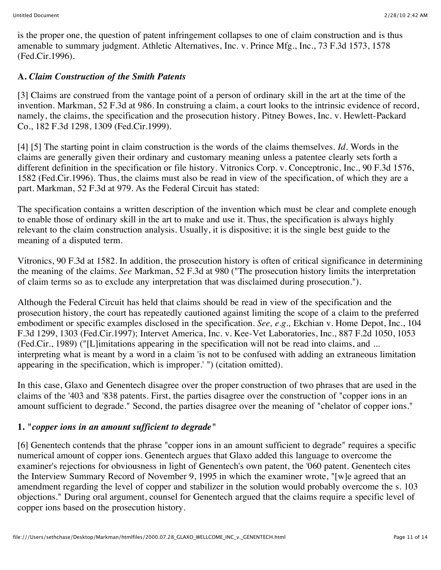is the proper one, the question of patent infringement collapses to one of claim construction and is thus amenable to summary judgment. Athletic Alternatives, Inc. v. Prince Mfg., Inc., 73 F.3d 1573, 1578 (Fed.Cir.1996).

## **A.** *Claim Construction of the Smith Patents*

[3] Claims are construed from the vantage point of a person of ordinary skill in the art at the time of the invention. Markman, 52 F.3d at 986. In construing a claim, a court looks to the intrinsic evidence of record, namely, the claims, the specification and the prosecution history. Pitney Bowes, Inc. v. Hewlett-Packard Co., 182 F.3d 1298, 1309 (Fed.Cir.1999).

[4] [5] The starting point in claim construction is the words of the claims themselves. *Id.* Words in the claims are generally given their ordinary and customary meaning unless a patentee clearly sets forth a different definition in the specification or file history. Vitronics Corp. v. Conceptronic, Inc., 90 F.3d 1576, 1582 (Fed.Cir.1996). Thus, the claims must also be read in view of the specification, of which they are a part. Markman, 52 F.3d at 979. As the Federal Circuit has stated:

The specification contains a written description of the invention which must be clear and complete enough to enable those of ordinary skill in the art to make and use it. Thus, the specification is always highly relevant to the claim construction analysis. Usually, it is dispositive; it is the single best guide to the meaning of a disputed term.

Vitronics, 90 F.3d at 1582. In addition, the prosecution history is often of critical significance in determining the meaning of the claims. *See* Markman, 52 F.3d at 980 ("The prosecution history limits the interpretation of claim terms so as to exclude any interpretation that was disclaimed during prosecution.").

Although the Federal Circuit has held that claims should be read in view of the specification and the prosecution history, the court has repeatedly cautioned against limiting the scope of a claim to the preferred embodiment or specific examples disclosed in the specification. *See, e.g.,* Ekchian v. Home Depot, Inc., 104 F.3d 1299, 1303 (Fed.Cir.1997); Intervet America, Inc. v. Kee-Vet Laboratories, Inc., 887 F.2d 1050, 1053 (Fed.Cir., 1989) ("[L]imitations appearing in the specification will not be read into claims, and ... interpreting what is meant by a word in a claim 'is not to be confused with adding an extraneous limitation appearing in the specification, which is improper.' ") (citation omitted).

In this case, Glaxo and Genentech disagree over the proper construction of two phrases that are used in the claims of the '403 and '838 patents. First, the parties disagree over the construction of "copper ions in an amount sufficient to degrade." Second, the parties disagree over the meaning of "chelator of copper ions."

## **1.** *"copper ions in an amount sufficient to degrade"*

[6] Genentech contends that the phrase "copper ions in an amount sufficient to degrade" requires a specific numerical amount of copper ions. Genentech argues that Glaxo added this language to overcome the examiner's rejections for obviousness in light of Genentech's own patent, the '060 patent. Genentech cites the Interview Summary Record of November 9, 1995 in which the examiner wrote, "[w]e agreed that an amendment regarding the level of copper and stabilizer in the solution would probably overcome the s. 103 objections." During oral argument, counsel for Genentech argued that the claims require a specific level of copper ions based on the prosecution history.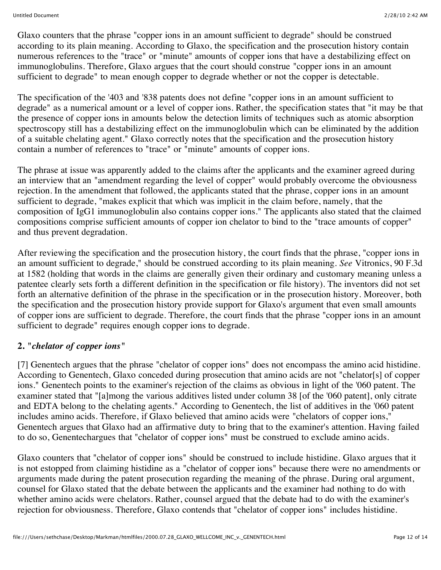Glaxo counters that the phrase "copper ions in an amount sufficient to degrade" should be construed according to its plain meaning. According to Glaxo, the specification and the prosecution history contain numerous references to the "trace" or "minute" amounts of copper ions that have a destabilizing effect on immunoglobulins. Therefore, Glaxo argues that the court should construe "copper ions in an amount sufficient to degrade" to mean enough copper to degrade whether or not the copper is detectable.

The specification of the '403 and '838 patents does not define "copper ions in an amount sufficient to degrade" as a numerical amount or a level of copper ions. Rather, the specification states that "it may be that the presence of copper ions in amounts below the detection limits of techniques such as atomic absorption spectroscopy still has a destabilizing effect on the immunoglobulin which can be eliminated by the addition of a suitable chelating agent." Glaxo correctly notes that the specification and the prosecution history contain a number of references to "trace" or "minute" amounts of copper ions.

The phrase at issue was apparently added to the claims after the applicants and the examiner agreed during an interview that an "amendment regarding the level of copper" would probably overcome the obviousness rejection. In the amendment that followed, the applicants stated that the phrase, copper ions in an amount sufficient to degrade, "makes explicit that which was implicit in the claim before, namely, that the composition of IgG1 immunoglobulin also contains copper ions." The applicants also stated that the claimed compositions comprise sufficient amounts of copper ion chelator to bind to the "trace amounts of copper" and thus prevent degradation.

After reviewing the specification and the prosecution history, the court finds that the phrase, "copper ions in an amount sufficient to degrade," should be construed according to its plain meaning. *See* Vitronics, 90 F.3d at 1582 (holding that words in the claims are generally given their ordinary and customary meaning unless a patentee clearly sets forth a different definition in the specification or file history). The inventors did not set forth an alternative definition of the phrase in the specification or in the prosecution history. Moreover, both the specification and the prosecution history provide support for Glaxo's argument that even small amounts of copper ions are sufficient to degrade. Therefore, the court finds that the phrase "copper ions in an amount sufficient to degrade" requires enough copper ions to degrade.

## **2.** *"chelator of copper ions"*

[7] Genentech argues that the phrase "chelator of copper ions" does not encompass the amino acid histidine. According to Genentech, Glaxo conceded during prosecution that amino acids are not "chelator[s] of copper ions." Genentech points to the examiner's rejection of the claims as obvious in light of the '060 patent. The examiner stated that "[a]mong the various additives listed under column 38 [of the '060 patent], only citrate and EDTA belong to the chelating agents." According to Genentech, the list of additives in the '060 patent includes amino acids. Therefore, if Glaxo believed that amino acids were "chelators of copper ions," Genentech argues that Glaxo had an affirmative duty to bring that to the examiner's attention. Having failed to do so, Genentechargues that "chelator of copper ions" must be construed to exclude amino acids.

Glaxo counters that "chelator of copper ions" should be construed to include histidine. Glaxo argues that it is not estopped from claiming histidine as a "chelator of copper ions" because there were no amendments or arguments made during the patent prosecution regarding the meaning of the phrase. During oral argument, counsel for Glaxo stated that the debate between the applicants and the examiner had nothing to do with whether amino acids were chelators. Rather, counsel argued that the debate had to do with the examiner's rejection for obviousness. Therefore, Glaxo contends that "chelator of copper ions" includes histidine.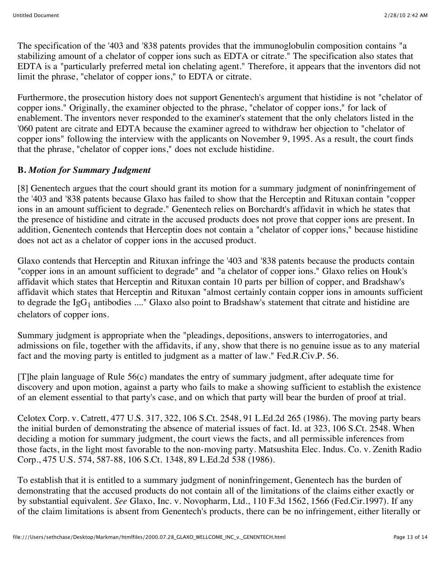The specification of the '403 and '838 patents provides that the immunoglobulin composition contains "a stabilizing amount of a chelator of copper ions such as EDTA or citrate." The specification also states that EDTA is a "particularly preferred metal ion chelating agent." Therefore, it appears that the inventors did not limit the phrase, "chelator of copper ions," to EDTA or citrate.

Furthermore, the prosecution history does not support Genentech's argument that histidine is not "chelator of copper ions." Originally, the examiner objected to the phrase, "chelator of copper ions," for lack of enablement. The inventors never responded to the examiner's statement that the only chelators listed in the '060 patent are citrate and EDTA because the examiner agreed to withdraw her objection to "chelator of copper ions" following the interview with the applicants on November 9, 1995. As a result, the court finds that the phrase, "chelator of copper ions," does not exclude histidine.

## **B.** *Motion for Summary Judgment*

[8] Genentech argues that the court should grant its motion for a summary judgment of noninfringement of the '403 and '838 patents because Glaxo has failed to show that the Herceptin and Rituxan contain "copper ions in an amount sufficient to degrade." Genentech relies on Borchardt's affidavit in which he states that the presence of histidine and citrate in the accused products does not prove that copper ions are present. In addition, Genentech contends that Herceptin does not contain a "chelator of copper ions," because histidine does not act as a chelator of copper ions in the accused product.

Glaxo contends that Herceptin and Rituxan infringe the '403 and '838 patents because the products contain "copper ions in an amount sufficient to degrade" and "a chelator of copper ions." Glaxo relies on Houk's affidavit which states that Herceptin and Rituxan contain 10 parts per billion of copper, and Bradshaw's affidavit which states that Herceptin and Rituxan "almost certainly contain copper ions in amounts sufficient to degrade the  $IgG_1$  antibodies ...." Glaxo also point to Bradshaw's statement that citrate and histidine are chelators of copper ions.

Summary judgment is appropriate when the "pleadings, depositions, answers to interrogatories, and admissions on file, together with the affidavits, if any, show that there is no genuine issue as to any material fact and the moving party is entitled to judgment as a matter of law." Fed.R.Civ.P. 56.

[T]he plain language of Rule 56(c) mandates the entry of summary judgment, after adequate time for discovery and upon motion, against a party who fails to make a showing sufficient to establish the existence of an element essential to that party's case, and on which that party will bear the burden of proof at trial.

Celotex Corp. v. Catrett, 477 U.S. 317, 322, 106 S.Ct. 2548, 91 L.Ed.2d 265 (1986). The moving party bears the initial burden of demonstrating the absence of material issues of fact. Id. at 323, 106 S.Ct. 2548. When deciding a motion for summary judgment, the court views the facts, and all permissible inferences from those facts, in the light most favorable to the non-moving party. Matsushita Elec. Indus. Co. v. Zenith Radio Corp., 475 U.S. 574, 587-88, 106 S.Ct. 1348, 89 L.Ed.2d 538 (1986).

To establish that it is entitled to a summary judgment of noninfringement, Genentech has the burden of demonstrating that the accused products do not contain all of the limitations of the claims either exactly or by substantial equivalent. *See* Glaxo, Inc. v. Novopharm, Ltd., 110 F.3d 1562, 1566 (Fed.Cir.1997). If any of the claim limitations is absent from Genentech's products, there can be no infringement, either literally or